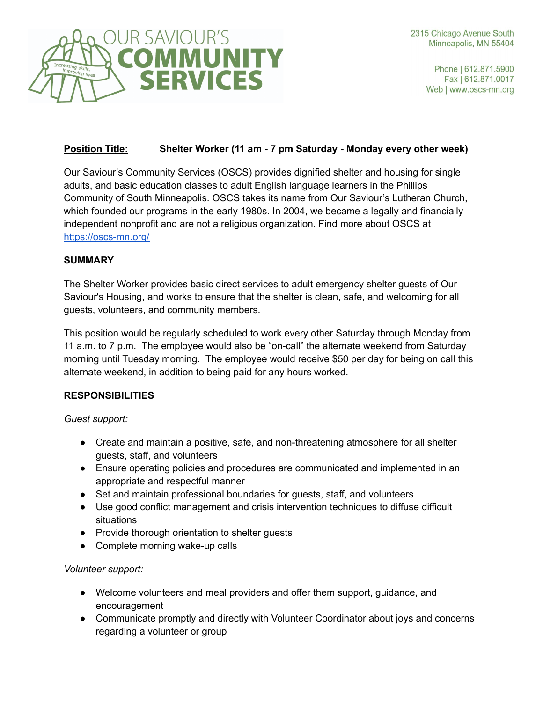

Phone | 612.871.5900 Fax | 612.871.0017 Web | www.oscs-mn.org

# **Position Title: Shelter Worker (11 am - 7 pm Saturday - Monday every other week)**

Our Saviour's Community Services (OSCS) provides dignified shelter and housing for single adults, and basic education classes to adult English language learners in the Phillips Community of South Minneapolis. OSCS takes its name from Our Saviour's Lutheran Church, which founded our programs in the early 1980s. In 2004, we became a legally and financially independent nonprofit and are not a religious organization. Find more about OSCS at https://oscs-mn.org/

### **SUMMARY**

The Shelter Worker provides basic direct services to adult emergency shelter guests of Our Saviour's Housing, and works to ensure that the shelter is clean, safe, and welcoming for all guests, volunteers, and community members.

This position would be regularly scheduled to work every other Saturday through Monday from 11 a.m. to 7 p.m. The employee would also be "on-call" the alternate weekend from Saturday morning until Tuesday morning. The employee would receive \$50 per day for being on call this alternate weekend, in addition to being paid for any hours worked.

# **RESPONSIBILITIES**

*Guest support:*

- Create and maintain a positive, safe, and non-threatening atmosphere for all shelter guests, staff, and volunteers
- Ensure operating policies and procedures are communicated and implemented in an appropriate and respectful manner
- Set and maintain professional boundaries for quests, staff, and volunteers
- Use good conflict management and crisis intervention techniques to diffuse difficult situations
- Provide thorough orientation to shelter guests
- Complete morning wake-up calls

# *Volunteer support:*

- Welcome volunteers and meal providers and offer them support, guidance, and encouragement
- Communicate promptly and directly with Volunteer Coordinator about joys and concerns regarding a volunteer or group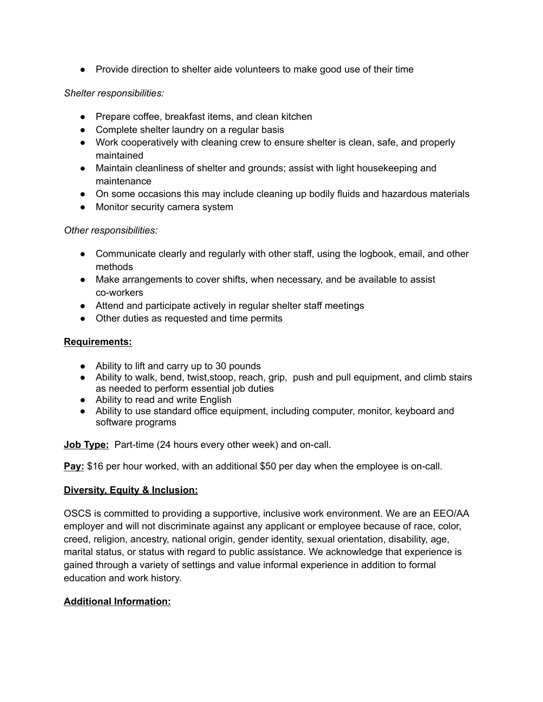● Provide direction to shelter aide volunteers to make good use of their time

#### *Shelter responsibilities:*

- Prepare coffee, breakfast items, and clean kitchen
- Complete shelter laundry on a regular basis
- Work cooperatively with cleaning crew to ensure shelter is clean, safe, and properly maintained
- Maintain cleanliness of shelter and grounds; assist with light housekeeping and maintenance
- On some occasions this may include cleaning up bodily fluids and hazardous materials
- Monitor security camera system

#### *Other responsibilities:*

- Communicate clearly and regularly with other staff, using the logbook, email, and other methods
- Make arrangements to cover shifts, when necessary, and be available to assist co-workers
- Attend and participate actively in regular shelter staff meetings
- Other duties as requested and time permits

### **Requirements:**

- Ability to lift and carry up to 30 pounds
- Ability to walk, bend, twist, stoop, reach, grip, push and pull equipment, and climb stairs as needed to perform essential job duties
- Ability to read and write English
- Ability to use standard office equipment, including computer, monitor, keyboard and software programs

**Job Type:** Part-time (24 hours every other week) and on-call.

**Pay:** \$16 per hour worked, with an additional \$50 per day when the employee is on-call.

#### **Diversity, Equity & Inclusion:**

OSCS is committed to providing a supportive, inclusive work environment. We are an EEO/AA employer and will not discriminate against any applicant or employee because of race, color, creed, religion, ancestry, national origin, gender identity, sexual orientation, disability, age, marital status, or status with regard to public assistance. We acknowledge that experience is gained through a variety of settings and value informal experience in addition to formal education and work history.

# **Additional Information:**